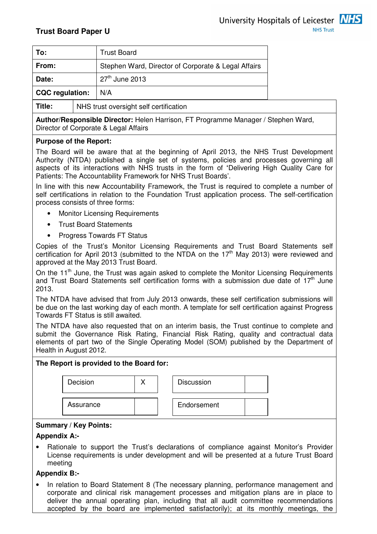**NHS Trust** 

| To:                    |                                        | <b>Trust Board</b>                                  |
|------------------------|----------------------------------------|-----------------------------------------------------|
| From:                  |                                        | Stephen Ward, Director of Corporate & Legal Affairs |
| Date:                  |                                        | $27th$ June 2013                                    |
| <b>CQC</b> regulation: |                                        | N/A                                                 |
| Title:                 | NHS trust oversight self certification |                                                     |

**Author/Responsible Director:** Helen Harrison, FT Programme Manager / Stephen Ward, Director of Corporate & Legal Affairs

### **Purpose of the Report:**

The Board will be aware that at the beginning of April 2013, the NHS Trust Development Authority (NTDA) published a single set of systems, policies and processes governing all aspects of its interactions with NHS trusts in the form of **'**Delivering High Quality Care for Patients: The Accountability Framework for NHS Trust Boards'.

In line with this new Accountability Framework, the Trust is required to complete a number of self certifications in relation to the Foundation Trust application process. The self-certification process consists of three forms:

- **Monitor Licensing Requirements**
- Trust Board Statements
- Progress Towards FT Status

Copies of the Trust's Monitor Licensing Requirements and Trust Board Statements self certification for April 2013 (submitted to the NTDA on the  $17<sup>th</sup>$  May 2013) were reviewed and approved at the May 2013 Trust Board.

On the 11<sup>th</sup> June, the Trust was again asked to complete the Monitor Licensing Requirements and Trust Board Statements self certification forms with a submission due date of  $17<sup>th</sup>$  June 2013.

The NTDA have advised that from July 2013 onwards, these self certification submissions will be due on the last working day of each month. A template for self certification against Progress Towards FT Status is still awaited.

The NTDA have also requested that on an interim basis, the Trust continue to complete and submit the Governance Risk Rating, Financial Risk Rating, quality and contractual data elements of part two of the Single Operating Model (SOM) published by the Department of Health in August 2012.

# **The Report is provided to the Board for:**  Decision  $\vert$  X  $\vert$  Discussion Assurance  $\vert$  | Endorsement

### **Summary / Key Points:**

### **Appendix A:-**

• Rationale to support the Trust's declarations of compliance against Monitor's Provider License requirements is under development and will be presented at a future Trust Board meeting

### **Appendix B:-**

• In relation to Board Statement 8 (The necessary planning, performance management and corporate and clinical risk management processes and mitigation plans are in place to deliver the annual operating plan, including that all audit committee recommendations accepted by the board are implemented satisfactorily); at its monthly meetings, the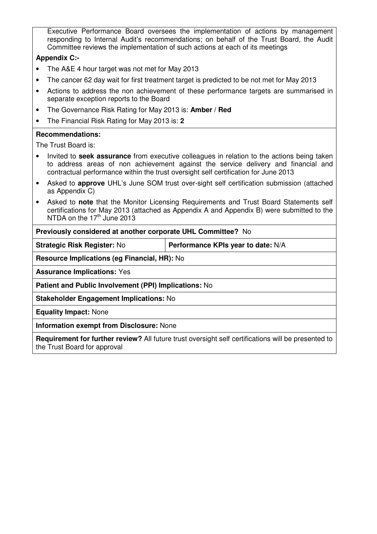Executive Performance Board oversees the implementation of actions by management responding to Internal Audit's recommendations; on behalf of the Trust Board, the Audit Committee reviews the implementation of such actions at each of its meetings

### **Appendix C:-**

- The A&E 4 hour target was not met for May 2013
- The cancer 62 day wait for first treatment target is predicted to be not met for May 2013
- Actions to address the non achievement of these performance targets are summarised in separate exception reports to the Board
- The Governance Risk Rating for May 2013 is: **Amber / Red**
- The Financial Risk Rating for May 2013 is: **2**

### **Recommendations:**

The Trust Board is:

- Invited to **seek assurance** from executive colleagues in relation to the actions being taken to address areas of non achievement against the service delivery and financial and contractual performance within the trust oversight self certification for June 2013
- Asked to **approve** UHL's June SOM trust over-sight self certification submission (attached as Appendix C)
- Asked to **note** that the Monitor Licensing Requirements and Trust Board Statements self certifications for May 2013 (attached as Appendix A and Appendix B) were submitted to the NTDA on the  $17<sup>th</sup>$  June 2013

**Previously considered at another corporate UHL Committee?** No

**Strategic Risk Register: No Performance KPIs year to date: N/A** 

**Resource Implications (eg Financial, HR):** No

**Assurance Implications:** Yes

**Patient and Public Involvement (PPI) Implications:** No

**Stakeholder Engagement Implications:** No

**Equality Impact:** None

**Information exempt from Disclosure:** None

**Requirement for further review?** All future trust oversight self certifications will be presented to the Trust Board for approval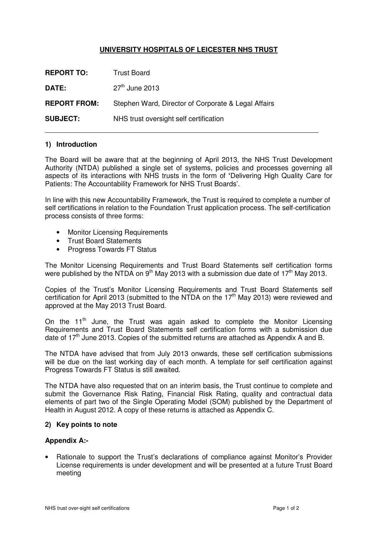### **UNIVERSITY HOSPITALS OF LEICESTER NHS TRUST**

| <b>REPORT TO:</b>   | <b>Trust Board</b>                                  |
|---------------------|-----------------------------------------------------|
| DATE:               | $27th$ June 2013                                    |
| <b>REPORT FROM:</b> | Stephen Ward, Director of Corporate & Legal Affairs |
| <b>SUBJECT:</b>     | NHS trust oversight self certification              |

#### **1) Introduction**

 $\overline{\phantom{a}}$ 

The Board will be aware that at the beginning of April 2013, the NHS Trust Development Authority (NTDA) published a single set of systems, policies and processes governing all aspects of its interactions with NHS trusts in the form of **'**Delivering High Quality Care for Patients: The Accountability Framework for NHS Trust Boards'.

In line with this new Accountability Framework, the Trust is required to complete a number of self certifications in relation to the Foundation Trust application process. The self-certification process consists of three forms:

- Monitor Licensing Requirements
- Trust Board Statements
- Progress Towards FT Status

The Monitor Licensing Requirements and Trust Board Statements self certification forms were published by the NTDA on  $9<sup>th</sup>$  May 2013 with a submission due date of 17<sup>th</sup> May 2013.

Copies of the Trust's Monitor Licensing Requirements and Trust Board Statements self certification for April 2013 (submitted to the NTDA on the  $17<sup>th</sup>$  May 2013) were reviewed and approved at the May 2013 Trust Board.

On the  $11<sup>th</sup>$  June, the Trust was again asked to complete the Monitor Licensing Requirements and Trust Board Statements self certification forms with a submission due date of  $17<sup>th</sup>$  June 2013. Copies of the submitted returns are attached as Appendix A and B.

The NTDA have advised that from July 2013 onwards, these self certification submissions will be due on the last working day of each month. A template for self certification against Progress Towards FT Status is still awaited.

The NTDA have also requested that on an interim basis, the Trust continue to complete and submit the Governance Risk Rating, Financial Risk Rating, quality and contractual data elements of part two of the Single Operating Model (SOM) published by the Department of Health in August 2012. A copy of these returns is attached as Appendix C.

#### **2) Key points to note**

#### **Appendix A:-**

• Rationale to support the Trust's declarations of compliance against Monitor's Provider License requirements is under development and will be presented at a future Trust Board meeting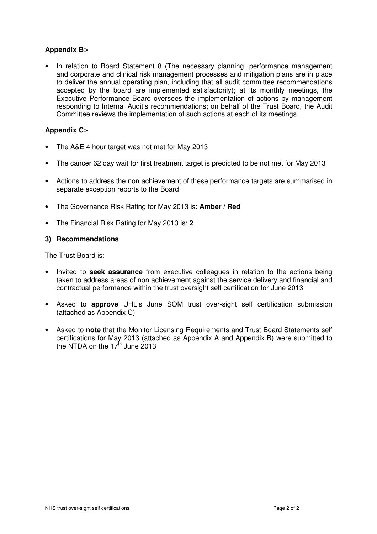### **Appendix B:-**

• In relation to Board Statement 8 (The necessary planning, performance management and corporate and clinical risk management processes and mitigation plans are in place to deliver the annual operating plan, including that all audit committee recommendations accepted by the board are implemented satisfactorily); at its monthly meetings, the Executive Performance Board oversees the implementation of actions by management responding to Internal Audit's recommendations; on behalf of the Trust Board, the Audit Committee reviews the implementation of such actions at each of its meetings

#### **Appendix C:-**

- The A&E 4 hour target was not met for May 2013
- The cancer 62 day wait for first treatment target is predicted to be not met for May 2013
- Actions to address the non achievement of these performance targets are summarised in separate exception reports to the Board
- The Governance Risk Rating for May 2013 is: **Amber / Red**
- The Financial Risk Rating for May 2013 is: **2**

#### **3) Recommendations**

The Trust Board is:

- Invited to **seek assurance** from executive colleagues in relation to the actions being taken to address areas of non achievement against the service delivery and financial and contractual performance within the trust oversight self certification for June 2013
- Asked to **approve** UHL's June SOM trust over-sight self certification submission (attached as Appendix C)
- Asked to **note** that the Monitor Licensing Requirements and Trust Board Statements self certifications for May 2013 (attached as Appendix A and Appendix B) were submitted to the NTDA on the 17 $^{\text{th}}$  June 2013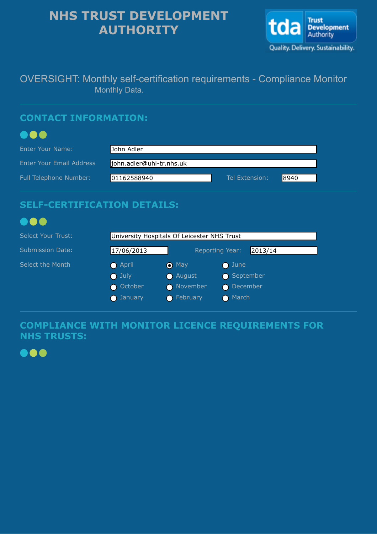# **NHS TRUST DEVELOPMENT AUTHORITY**



# OVERSIGHT: Monthly self-certification requirements - Compliance Monitor Monthly Data.

# **CONTACT INFORMATION:**

# ...

| Enter Your Name:         | John Adler               |                |      |
|--------------------------|--------------------------|----------------|------|
| Enter Your Email Address | john.adler@uhl-tr.nhs.uk |                |      |
| Full Telephone Number:   | 01162588940              | Tel Extension: | 8940 |

# **SELF-CERTIFICATION DETAILS:**

# ...

| Select Your Trust: |                 | University Hospitals Of Leicester NHS Trust |                            |
|--------------------|-----------------|---------------------------------------------|----------------------------|
| Submission Date:   | 17/06/2013      |                                             | 2013/14<br>Reporting Year: |
| Select the Month   | April           | $\bullet$ May                               | $\bigcirc$ June            |
|                    | $\bigcirc$ July | August                                      | ● September                |
|                    | O October       | O November                                  | O December                 |
|                    | O January       | $\bigcirc$ February                         | ● March                    |

# **COMPLIANCE WITH MONITOR LICENCE REQUIREMENTS FOR NHS TRUSTS:**

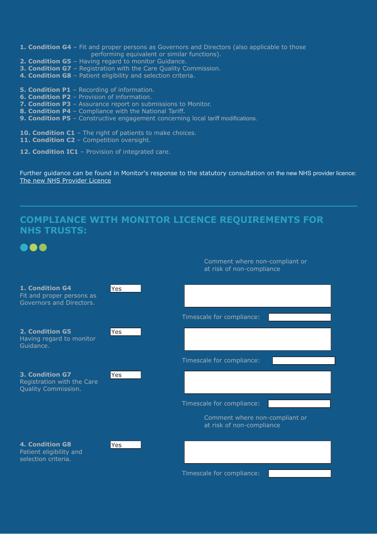- **1. Condition G4**  Fit and proper persons as Governors and Directors (also applicable to those performing equivalent or similar functions).
- **2. Condition G5** Having regard to monitor Guidance.
- **3. Condition G7** Registration with the Care Quality Commission.
- **4. Condition G8** Patient eligibility and selection criteria.
- **5. Condition P1**  Recording of information.
- **6. Condition P2**  Provision of information.
- **7. Condition P3** Assurance report on submissions to Monitor.
- **8. Condition P4**  Compliance with the National Tariff.
- **9. Condition P5** Constructive engagement concerning local tariff modifications.
- **10. Condition C1** The right of patients to make choices.
- 11. **Condition C2** Competition oversight.
- 12. Condition IC1 Provision of integrated care.

Further guidance can be found in Monitor's response to the statutory consultation on the new NHS provider licence: The new NHS Provider Licence

# **COMPLIANCE WITH MONITOR LICENCE REQUIREMENTS FOR NHS TRUSTS:**

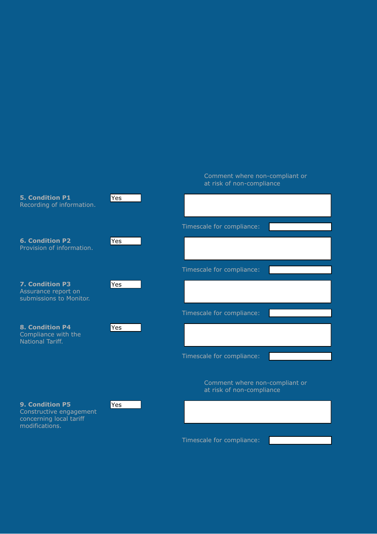### at risk of non-compliance **5. Condition P1**  Recording of information. Timescale for compliance: **6. Condition P2**  Provision of information. Timescale for compliance: **7. Condition P3**  Assurance report on submissions to Monitor. Timescale for compliance: **8. Condition P4**  Compliance with the National Tariff. Timescale for compliance: Comment where non-compliant or at risk of non-compliance **9. Condition P5**  Constructive engagement concerning local tariff modifications. Timescale for compliance: **Yes Yes Yes Yes Yes**

Comment where non-compliant or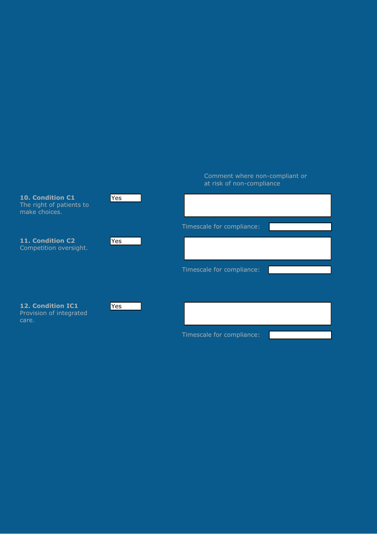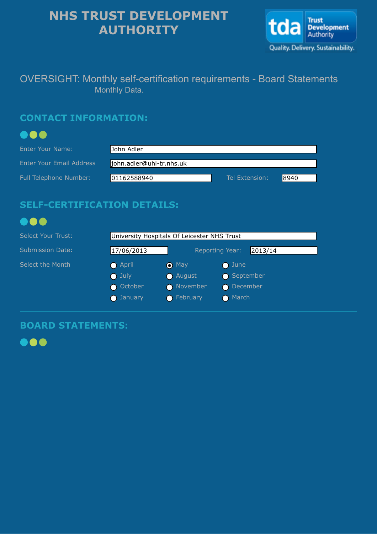# **NHS TRUST DEVELOPMENT AUTHORITY**



# OVERSIGHT: Monthly self-certification requirements - Board Statements Monthly Data.

# **CONTACT INFORMATION:**

# 000

| Enter Your Name:                | John Adler               |                |      |
|---------------------------------|--------------------------|----------------|------|
| <b>Enter Your Email Address</b> | john.adler@uhl-tr.nhs.uk |                |      |
| Full Telephone Number:          | 01162588940              | Tel Extension: | 8940 |

# **SELF-CERTIFICATION DETAILS:**

# ...

| <b>Select Your Trust:</b> | University Hospitals Of Leicester NHS Trust |                        |                 |
|---------------------------|---------------------------------------------|------------------------|-----------------|
| Submission Date:          | 17/06/2013                                  | <b>Reporting Year:</b> | 2013/14         |
| Select the Month          | April                                       | $\bullet$ May          | $\bigcirc$ June |
|                           | $\bigcirc$ July                             | August                 | ● September     |
|                           | O October                                   | O November             | O December      |
|                           | <b>O</b> January                            | ● February             | ● March         |

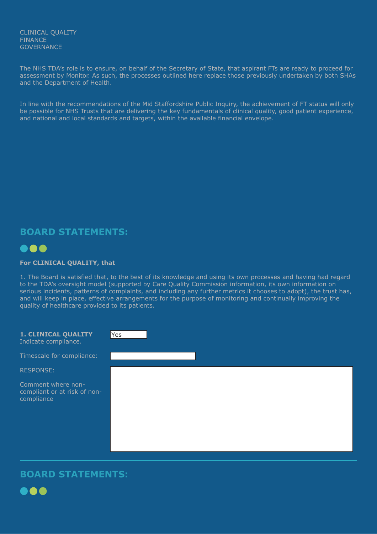#### CLINICAL QUALITY FINANCE **GOVERNANCE**

The NHS TDA's role is to ensure, on behalf of the Secretary of State, that aspirant FTs are ready to proceed for assessment by Monitor. As such, the processes outlined here replace those previously undertaken by both SHAs and the Department of Health.

In line with the recommendations of the Mid Staffordshire Public Inquiry, the achievement of FT status will only be possible for NHS Trusts that are delivering the key fundamentals of clinical quality, good patient experience, and national and local standards and targets, within the available financial envelope.

### **BOARD STATEMENTS:**



#### **For CLINICAL QUALITY, that**

1. The Board is satisfied that, to the best of its knowledge and using its own processes and having had regard to the TDA's oversight model (supported by Care Quality Commission information, its own information on serious incidents, patterns of complaints, and including any further metrics it chooses to adopt), the trust has, and will keep in place, effective arrangements for the purpose of monitoring and continually improving the quality of healthcare provided to its patients.

| 1. CLINICAL QUALITY<br>Indicate compliance.                      | Yes |
|------------------------------------------------------------------|-----|
| Timescale for compliance:                                        |     |
| <b>RESPONSE:</b>                                                 |     |
| Comment where non-<br>compliant or at risk of non-<br>compliance |     |

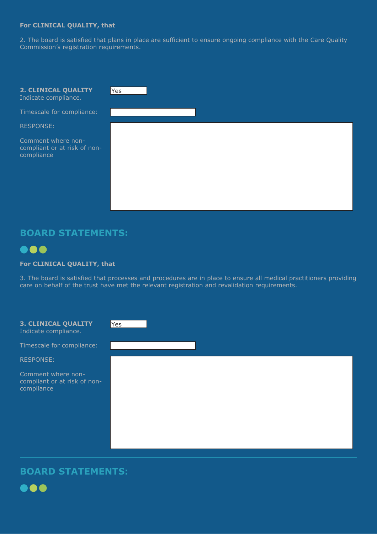#### **For CLINICAL QUALITY, that**

2. The board is satisfied that plans in place are sufficient to ensure ongoing compliance with the Care Quality Commission's registration requirements.

| 2. CLINICAL QUALITY<br>Indicate compliance.                      | Yes |
|------------------------------------------------------------------|-----|
| Timescale for compliance:                                        |     |
| <b>RESPONSE:</b>                                                 |     |
| Comment where non-<br>compliant or at risk of non-<br>compliance |     |

# **BOARD STATEMENTS:**



#### **For CLINICAL QUALITY, that**

3. The board is satisfied that processes and procedures are in place to ensure all medical practitioners providing care on behalf of the trust have met the relevant registration and revalidation requirements.

| <b>3. CLINICAL QUALITY</b><br>Indicate compliance.               | Yes |
|------------------------------------------------------------------|-----|
| Timescale for compliance:                                        |     |
| <b>RESPONSE:</b>                                                 |     |
| Comment where non-<br>compliant or at risk of non-<br>compliance |     |

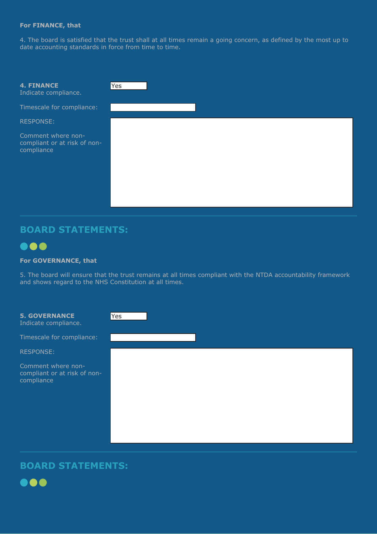#### **For FINANCE, that**

4. The board is satisfied that the trust shall at all times remain a going concern, as defined by the most up to date accounting standards in force from time to time.

| <b>4. FINANCE</b><br>Indicate compliance.                        | Yes |
|------------------------------------------------------------------|-----|
| Timescale for compliance:                                        |     |
| <b>RESPONSE:</b>                                                 |     |
| Comment where non-<br>compliant or at risk of non-<br>compliance |     |

# **BOARD STATEMENTS:**



#### **For GOVERNANCE, that**

5. The board will ensure that the trust remains at all times compliant with the NTDA accountability framework and shows regard to the NHS Constitution at all times.

| <b>5. GOVERNANCE</b><br>Indicate compliance.                     | Yes |
|------------------------------------------------------------------|-----|
| Timescale for compliance:                                        |     |
| <b>RESPONSE:</b>                                                 |     |
| Comment where non-<br>compliant or at risk of non-<br>compliance |     |

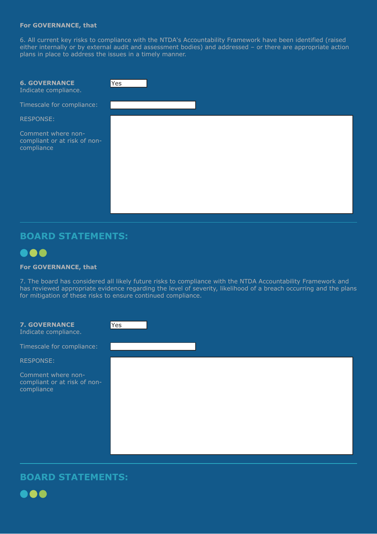6. All current key risks to compliance with the NTDA's Accountability Framework have been identified (raised either internally or by external audit and assessment bodies) and addressed - or there are appropriate action plans in place to address the issues in a timely manner.

| <b>6. GOVERNANCE</b><br>Indicate compliance.                     | Yes |
|------------------------------------------------------------------|-----|
| Timescale for compliance:                                        |     |
| <b>RESPONSE:</b>                                                 |     |
| Comment where non-<br>compliant or at risk of non-<br>compliance |     |

### **BOARD STATEMENTS:**



#### **For GOVERNANCE, that**

7. The board has considered all likely future risks to compliance with the NTDA Accountability Framework and has reviewed appropriate evidence regarding the level of severity, likelihood of a breach occurring and the plans for mitigation of these risks to ensure continued compliance.

| <b>7. GOVERNANCE</b><br>Indicate compliance.                     | Yes |
|------------------------------------------------------------------|-----|
| Timescale for compliance:                                        |     |
| <b>RESPONSE:</b>                                                 |     |
| Comment where non-<br>compliant or at risk of non-<br>compliance |     |

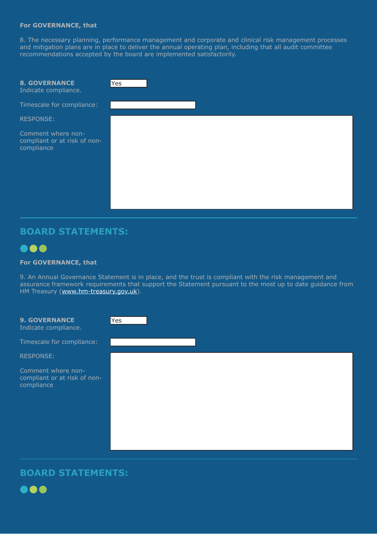8. The necessary planning, performance management and corporate and clinical risk management processes and mitigation plans are in place to deliver the annual operating plan, including that all audit committee recommendations accepted by the board are implemented satisfactorily.

| <b>8. GOVERNANCE</b><br>Indicate compliance.                     | Yes |
|------------------------------------------------------------------|-----|
| Timescale for compliance:                                        |     |
| <b>RESPONSE:</b>                                                 |     |
| Comment where non-<br>compliant or at risk of non-<br>compliance |     |

# **BOARD STATEMENTS:**



#### **For GOVERNANCE, that**

9. An Annual Governance Statement is in place, and the trust is compliant with the risk management and assurance framework requirements that support the Statement pursuant to the most up to date guidance from HM Treasury (www.hm-treasury.gov.uk).

| <b>9. GOVERNANCE</b><br>Indicate compliance.                     | Yes |
|------------------------------------------------------------------|-----|
| Timescale for compliance:                                        |     |
| <b>RESPONSE:</b>                                                 |     |
| Comment where non-<br>compliant or at risk of non-<br>compliance |     |

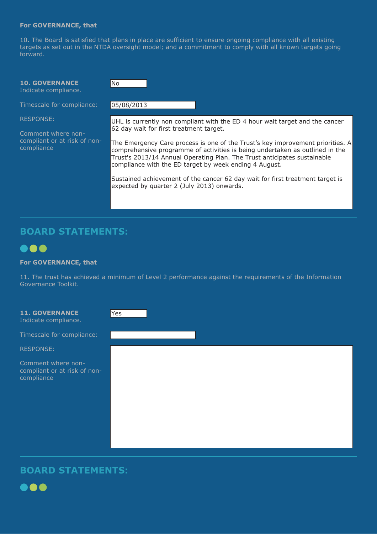10. The Board is satisfied that plans in place are sufficient to ensure ongoing compliance with all existing targets as set out in the NTDA oversight model; and a commitment to comply with all known targets going forward.

#### **10. GOVERNANCE**

Indicate compliance.

Timescale for compliance:

RESPONSE:

Comment where noncompliant or at risk of noncompliance

No

#### 05/08/2013

UHL is currently non compliant with the ED 4 hour wait target and the cancer 62 day wait for first treatment target.

The Emergency Care process is one of the Trust's key improvement priorities. A comprehensive programme of activities is being undertaken as outlined in the Trust's 2013/14 Annual Operating Plan. The Trust anticipates sustainable compliance with the ED target by week ending 4 August.

Sustained achievement of the cancer 62 day wait for first treatment target is expected by quarter 2 (July 2013) onwards.

### **BOARD STATEMENTS:**



#### **For GOVERNANCE, that**

11. The trust has achieved a minimum of Level 2 performance against the requirements of the Information Governance Toolkit.

| <b>11. GOVERNANCE</b><br>Indicate compliance.                    | Yes |
|------------------------------------------------------------------|-----|
| Timescale for compliance:                                        |     |
| <b>RESPONSE:</b>                                                 |     |
| Comment where non-<br>compliant or at risk of non-<br>compliance |     |

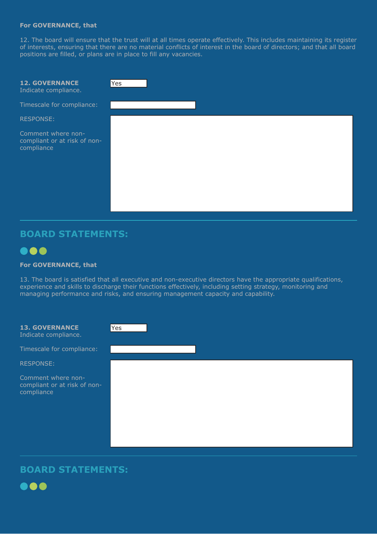12. The board will ensure that the trust will at all times operate effectively. This includes maintaining its register of interests, ensuring that there are no material conflicts of interest in the board of directors; and that all board positions are filled, or plans are in place to fill any vacancies.

| <b>12. GOVERNANCE</b><br>Indicate compliance.                    | Yes |
|------------------------------------------------------------------|-----|
| Timescale for compliance:                                        |     |
| <b>RESPONSE:</b>                                                 |     |
| Comment where non-<br>compliant or at risk of non-<br>compliance |     |

### **BOARD STATEMENTS:**



#### **For GOVERNANCE, that**

13. The board is satisfied that all executive and non-executive directors have the appropriate qualifications, experience and skills to discharge their functions effectively, including setting strategy, monitoring and managing performance and risks, and ensuring management capacity and capability.

| <b>13. GOVERNANCE</b><br>Indicate compliance.                    | Yes |  |
|------------------------------------------------------------------|-----|--|
| Timescale for compliance:                                        |     |  |
| <b>RESPONSE:</b>                                                 |     |  |
| Comment where non-<br>compliant or at risk of non-<br>compliance |     |  |

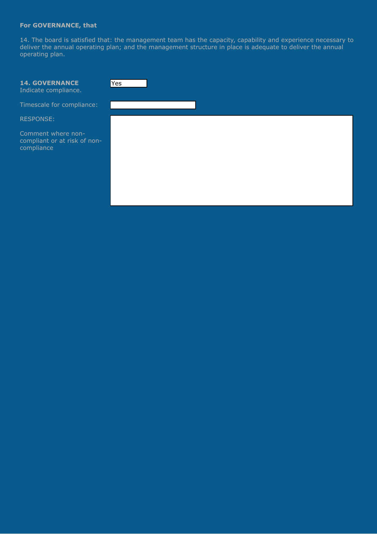14. The board is satisfied that: the management team has the capacity, capability and experience necessary to deliver the annual operating plan; and the management structure in place is adequate to deliver the annual operating plan.

|  | <b>14. GOVERNANCE</b> |                      |
|--|-----------------------|----------------------|
|  |                       | Indicate compliance. |

Timescale for compliance:

RESPONSE:

Comment where noncompliant or at risk of noncompliance

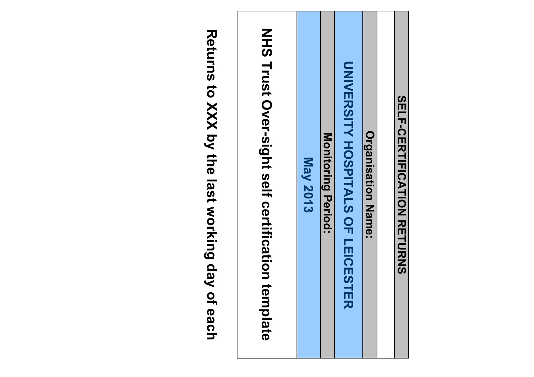

**Returns to XXX by the last working day of each**  Returns to XXX by the last working day of each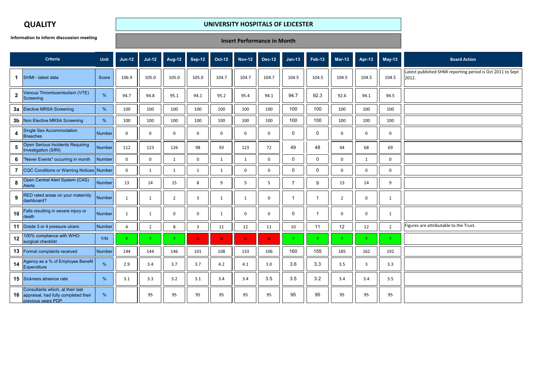### **QUALITY**

### **UNIVERSITY HOSPITALS OF LEICESTER**

|                | Information to inform discussion meeting                                                          |               | <b>Insert Performance in Month</b> |                |                |                |                |               |               |                |                |                |                |                |                                                                     |
|----------------|---------------------------------------------------------------------------------------------------|---------------|------------------------------------|----------------|----------------|----------------|----------------|---------------|---------------|----------------|----------------|----------------|----------------|----------------|---------------------------------------------------------------------|
|                | <b>Criteria</b>                                                                                   | Unit          | $Jun-12$                           | $Jul-12$       | <b>Aug-12</b>  | <b>Sep-12</b>  | <b>Oct-12</b>  | <b>Nov-12</b> | <b>Dec-12</b> | $Jan-13$       | <b>Feb-13</b>  | <b>Mar-13</b>  | Apr-13         | <b>May-13</b>  | <b>Board Action</b>                                                 |
| $\mathbf 1$    | SHMI - latest data                                                                                | Score         | 106.9                              | 105.0          | 105.0          | 105.0          | 104.7          | 104.7         | 104.7         | 104.5          | 104.5          | 104.5          | 104.5          | 104.5          | Latest published SHMI reporting period is Oct 2011 to Sept<br>2012. |
| $\mathbf{2}$   | Venous Thromboembolism (VTE)<br>Screening                                                         | $\frac{9}{6}$ | 94.7                               | 94.8           | 95.1           | 94.1           | 95.2           | 95.4          | 94.1          | 94.7           | 92.3           | 92.6           | 94.1           | 94.5           |                                                                     |
|                | 3a Elective MRSA Screening                                                                        | %             | 100                                | 100            | 100            | 100            | 100            | 100           | 100           | 100            | 100            | 100            | 100            | 100            |                                                                     |
| 3 <sub>b</sub> | Non Elective MRSA Screening                                                                       | %             | 100                                | 100            | 100            | 100            | 100            | 100           | 100           | 100            | 100            | 100            | 100            | 100            |                                                                     |
| 4              | <b>Single Sex Accommodation</b><br><b>Breaches</b>                                                | Number        | 0                                  | $\mathbf 0$    | $\mathbf 0$    | 0              | 0              | 0             | $\mathbf 0$   | $\mathbf 0$    | 0              | 0              | $\mathbf 0$    | 0              |                                                                     |
| ${\bf 5}$      | Open Serious Incidents Requiring<br>Investigation (SIRI)                                          | Number        | 112                                | 123            | 126            | 98             | 93             | 123           | 72            | 49             | 48             | 44             | 68             | 69             |                                                                     |
| 6              | "Never Events" occurring in month                                                                 | Number        | 0                                  | $\mathsf{O}$   | $\mathbf{1}$   | $\mathbf 0$    | $\mathbf{1}$   | $\mathbf{1}$  | $\mathsf 0$   | $\mathbf 0$    | $\mathbf 0$    | $\mathbf 0$    | $\mathbf{1}$   | $\mathbf 0$    |                                                                     |
| $\overline{7}$ | CQC Conditions or Warning Notices Number                                                          |               | 0                                  | $\mathbf{1}$   | $\mathbf{1}$   | $\mathbf{1}$   | $\mathbf{1}$   | $\mathsf{O}$  | $\mathsf 0$   | $\mathbf 0$    | $\mathbf 0$    | $\mathbf 0$    | $\mathbf 0$    | $\mathbf 0$    |                                                                     |
| $\pmb{8}$      | Open Central Alert System (CAS)<br><b>Alerts</b>                                                  | Number        | 13                                 | 14             | 15             | 8              | 9              | 5             | 5             | $\overline{7}$ | 9              | 13             | 14             | 9              |                                                                     |
| 9              | RED rated areas on your maternity<br>dashboard?                                                   | Number        | 1                                  | $\mathbf{1}$   | $\overline{2}$ | $\overline{3}$ | $\overline{1}$ | $\mathbf{1}$  | $\mathbf 0$   |                |                | $\overline{2}$ | $\mathbf 0$    | 1              |                                                                     |
| 10             | Falls resulting in severe injury or<br>death                                                      | Number        | $\mathbf{1}$                       | $\mathbf{1}$   | $\mathbf 0$    | 0              | 1              | 0             | $\mathbf 0$   | $\mathbf 0$    | $\overline{1}$ | $\mathbf 0$    | $\mathbf 0$    | 1              |                                                                     |
|                | 11 Grade 3 or 4 pressure ulcers                                                                   | Number        | $\overline{4}$                     | $\overline{2}$ | 8              | 3              | 11             | 12            | 11            | 10             | 11             | 12             | 12             | $\overline{2}$ | Figures are attributable to the Trust.                              |
| 12             | 100% compliance with WHO<br>surgical checklist                                                    | Y/N           |                                    | Ÿ              |                | ${\bf N}$      | N              | ${\bf N}$     | $\mathbb N$   | Y              |                | Y              |                | Y              |                                                                     |
|                | 13 Formal complaints received                                                                     | Number        | 144                                | 144            | 146            | 101            | 108            | 133           | 106           | 160            | 155            | 185            | 162            | 192            |                                                                     |
| 14             | Agency as a % of Employee Benefit<br>Expenditure                                                  | $\frac{9}{6}$ | 2.9                                | 3.4            | 3.7            | 3.7            | 4.2            | 4.1           | 3.0           | 3.6            | 3.3            | 3.5            | $\overline{3}$ | 3.3            |                                                                     |
|                | 15 Sickness absence rate                                                                          | %             | 3.1                                | 3.3            | 3.2            | 3.1            | 3.4            | 3.4           | 3.5           | 3.5            | 3.2            | 3.4            | 3.4            | 3.5            |                                                                     |
|                | Consultants which, at their last<br>16 appraisal, had fully completed their<br>previous vears PDP | %             |                                    | 95             | 95             | 95             | 95             | 95            | 95            | 95             | 95             | 95             | 95             | 95             |                                                                     |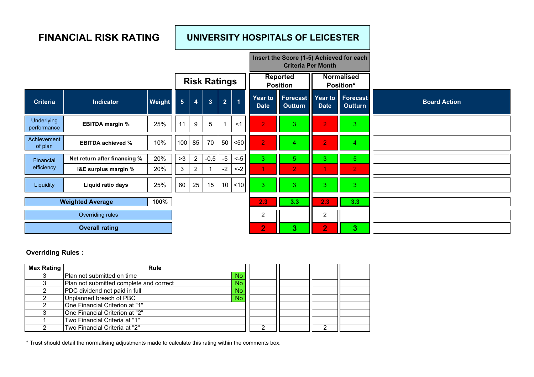# **FINANCIAL RISK RATING**

### **UNIVERSITY HOSPITALS OF LEICESTER**

|                           |                              |        |                |                |                         |                |                |                        | Insert the Score (1-5) Achieved for each<br><b>Criteria Per Month</b> |                           |                                |                     |
|---------------------------|------------------------------|--------|----------------|----------------|-------------------------|----------------|----------------|------------------------|-----------------------------------------------------------------------|---------------------------|--------------------------------|---------------------|
|                           |                              |        |                |                | <b>Risk Ratings</b>     |                |                |                        | <b>Reported</b><br><b>Position</b>                                    |                           | <b>Normalised</b><br>Position* |                     |
| <b>Criteria</b>           | <b>Indicator</b>             | Weight | $\overline{5}$ | $\overline{4}$ | $\overline{\mathbf{3}}$ | $\overline{2}$ |                | Year to<br><b>Date</b> | Forecast<br><b>Outturn</b>                                            | Year to<br><b>Date</b>    | Forecast<br><b>Outturn</b>     | <b>Board Action</b> |
| Underlying<br>performance | <b>EBITDA margin %</b>       | 25%    | 11             | 9              | 5                       |                | $<$ 1          | $\overline{2}$         | 3 <sup>°</sup>                                                        | $\overline{2}$            | 3 <sup>7</sup>                 |                     |
| Achievement<br>of plan    | <b>EBITDA achieved %</b>     | 10%    | 100            | 85             | 70                      | 50             | $50$           | $\overline{2}$         | $\overline{4}$                                                        | $\mathbf{2}^{\mathsf{l}}$ | $\overline{4}$                 |                     |
| Financial                 | Net return after financing % | 20%    | >3             | $\overline{2}$ | $-0.5$                  | $-5$           | $< -5$         | 3                      | 5                                                                     | 3                         | 5 <sup>1</sup>                 |                     |
| efficiency                | I&E surplus margin %         | 20%    | 3              | $\overline{2}$ |                         | $-2$           | $\leftarrow$ 2 |                        | 2 <sub>1</sub>                                                        | 1                         | $\overline{2}$                 |                     |
| Liquidity                 | Liquid ratio days            | 25%    | 60             | 25             | 15                      | 10             | ~10            | 3                      | 3                                                                     | 3                         | 3 <sup>°</sup>                 |                     |
|                           | <b>Weighted Average</b>      | 100%   |                |                |                         |                |                | 2.3                    | 3.3                                                                   | 2.3                       | 3.3                            |                     |
|                           | Overriding rules             |        |                |                |                         |                |                | $\overline{2}$         |                                                                       | 2                         |                                |                     |
|                           | <b>Overall rating</b>        |        |                |                |                         |                |                | $\overline{2}$         | 3                                                                     | $\overline{2}$            | 3 <sup>2</sup>                 |                     |

#### **Overriding Rules :**

| <b>Max Rating</b> | <b>Rule</b>                             |           |  |  |  |
|-------------------|-----------------------------------------|-----------|--|--|--|
|                   | IPlan not submitted on time             | <b>No</b> |  |  |  |
|                   | Plan not submitted complete and correct | <b>No</b> |  |  |  |
|                   | PDC dividend not paid in full           | <b>No</b> |  |  |  |
|                   | Unplanned breach of PBC                 |           |  |  |  |
|                   | IOne Financial Criterion at "1"         |           |  |  |  |
|                   | One Financial Criterion at "2"          |           |  |  |  |
|                   | Two Financial Criteria at "1"           |           |  |  |  |
|                   | Two Financial Criteria at "2"           |           |  |  |  |

\* Trust should detail the normalising adjustments made to calculate this rating within the comments box.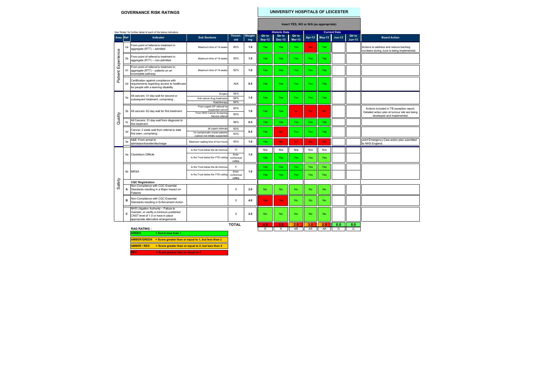#### **GOVERNANCE RISK RATINGS**

#### **UNIVERSITY HOSPITALS OF LEICESTER**

| Insert YES, NO or N/A (as appropriate) |  |  |  |
|----------------------------------------|--|--|--|

|                    |                | See 'Notes' for further detail of each of the below indicators                                                                                                  |                                                                                                 |                                 |                |                         | <b>Historic Data</b>    |                         |           |           | <b>Current Data</b> |                    |                                                                                                                         |
|--------------------|----------------|-----------------------------------------------------------------------------------------------------------------------------------------------------------------|-------------------------------------------------------------------------------------------------|---------------------------------|----------------|-------------------------|-------------------------|-------------------------|-----------|-----------|---------------------|--------------------|-------------------------------------------------------------------------------------------------------------------------|
| Area Ref           |                | Indicator                                                                                                                                                       | <b>Sub Sections</b>                                                                             | <b>Thresh</b><br>old            | Neight-<br>ing | Qtr to<br><b>Sep-12</b> | Qtr to<br><b>Dec-12</b> | Qtr to<br><b>Mar-13</b> | Apr-13    | $May-13$  | $Jun-13$            | Qtr to<br>$Jun-13$ | <b>Board Action</b>                                                                                                     |
|                    | 2a             | From point of referral to treatment in<br>aggregate (RTT) - admitted                                                                                            | Maximum time of 18 weeks                                                                        | 90%                             | 1.0            | Yes                     | Yes                     | Yes                     | No.       | Yes       |                     |                    | Actions to address and reduce backlog<br>numbers during June is being implemented.                                      |
|                    | 2 <sub>b</sub> | From point of referral to treatment in<br>aggregate (RTT) - non-admitted                                                                                        | Maximum time of 18 weeks                                                                        | 95%                             | 1.0            | Yes                     | Yes                     | Yes                     | Yes       | Yes       |                     |                    |                                                                                                                         |
| Patient Experience | 2 <sub>c</sub> | From point of referral to treatment in<br>aggregate (RTT) - patients on an<br>incomplete pathway                                                                | Maximum time of 18 weeks                                                                        | 92%                             | 1.0            | Yes                     | Yes                     | Yes                     | Yes       | Yes       |                     |                    |                                                                                                                         |
|                    | 2d             | Certification against compliance with<br>requirements regarding access to healthcare<br>for people with a learning disability                                   |                                                                                                 | N/A                             | 0.5            | Yes                     | Yes                     | Yes                     | Yes       | Yes       |                     |                    |                                                                                                                         |
|                    | 3a             | All cancers: 31-day wait for second or<br>subsequent treatment, comprising:                                                                                     | Surgery<br>Anti cancer drug treatments<br>Radiotherapy                                          | 94%<br>98%<br>94%               | 1.0            | Yes                     | Yes                     | Yes                     | Yes       | Yes       |                     |                    |                                                                                                                         |
| Quality            | 3 <sub>b</sub> | All cancers: 62-day wait for first treatment:                                                                                                                   | From urgent GP referral for<br>suspected cancer<br>From NHS Cancer Screening<br>Service referra | 85%<br>90%                      | 1.0            | Yes                     | Yes                     | <b>No</b>               | No.       | No.       |                     |                    | Actions included in TB exception report.<br>Detailed action plan at tumour site are being<br>developed and implemented. |
|                    | 3 <sub>c</sub> | All Cancers: 31-day wait from diagnosis to<br>first treatment                                                                                                   |                                                                                                 | 96%                             | 0.5            | Yes                     | Yes                     | Yes                     | Yes       | Yes       |                     |                    |                                                                                                                         |
|                    | 3d             | Cancer: 2 week wait from referral to date<br>first seen, comprising:                                                                                            | all urgent referrals<br>for symptomatic breast patients<br>(cancer not initially suspected)     | 93%<br>93%                      | 0.5            | Yes                     | <b>No</b>               | Yes                     | Yes       | Yes       |                     |                    |                                                                                                                         |
|                    | 3e             | A&E: From arrival to<br>admission/transfer/discharge                                                                                                            | Maximum waiting time of four hours                                                              | 95%                             | 1.0            | Yes                     | <b>No</b>               | <b>No</b>               | <b>No</b> | <b>No</b> |                     |                    | Joint Emergency Care action plan submitted<br>to NHS England                                                            |
|                    |                | Clostridium Difficile                                                                                                                                           | Is the Trust below the de minimus                                                               | 12                              |                | N/a                     | N/a                     | N/a                     | N/a       | N/a       |                     |                    |                                                                                                                         |
|                    | 4a             |                                                                                                                                                                 | Is the Trust below the YTD ceiling                                                              | Fnter<br>contractual<br>ceiling | 1.0            | Yes                     | Yes                     | Yes                     | Yes       | Yes       |                     |                    |                                                                                                                         |
|                    |                | <b>MRSA</b>                                                                                                                                                     | Is the Trust below the de minimus                                                               | 6                               | 1.0            | Yes                     | Yes                     | Yes                     | Yes       | Yes       |                     |                    |                                                                                                                         |
|                    | 4b             |                                                                                                                                                                 | Is the Trust below the YTD ceiling                                                              | Enter<br>contractual<br>cellina |                | Yes                     | Yes                     | Yes                     | Yes       | Yes       |                     |                    |                                                                                                                         |
|                    |                | <b>CQC Registration</b>                                                                                                                                         |                                                                                                 |                                 |                |                         |                         |                         |           |           |                     |                    |                                                                                                                         |
| Safety             | А              | Non-Compliance with CQC Essential<br>Standards resulting in a Major Impact on<br>Patients                                                                       |                                                                                                 | $\Omega$                        | 2.0            | No                      | No                      | No                      | <b>No</b> | <b>No</b> |                     |                    |                                                                                                                         |
|                    | B              | Non-Compliance with CQC Essential<br>Standards resulting in Enforcement Action                                                                                  |                                                                                                 | $\mathbf 0$                     | 4.0            | Yes:                    | Yes:                    | <b>No</b>               | <b>No</b> | <b>No</b> |                     |                    |                                                                                                                         |
|                    | c              | NHS Litigation Authority - Failure to<br>maintain, or certify a minimum published<br>CNST level of 1.0 or have in place<br>appropriate alternative arrangements |                                                                                                 | $\mathbf 0$                     | 2.0            | No                      | <b>No</b>               | No                      | No        | <b>No</b> |                     |                    |                                                                                                                         |
|                    |                | <b>RAG RATING:</b>                                                                                                                                              |                                                                                                 | <b>TOTAL</b>                    |                | 4.0<br>R                | 5.5<br>R                | 2.0<br>AR               | 3.0<br>AR | 2.0<br>AR | 0.0<br>G            | 0.0<br>G           |                                                                                                                         |
|                    |                |                                                                                                                                                                 |                                                                                                 |                                 |                |                         |                         |                         |           |           |                     |                    |                                                                                                                         |

**REEN** = Score less than 1 **AMBER/GREEN = Score greater than or equal to 1, but less than 2 AMBER / RED = Score greater than or equal to 2, but less than 4 RED = Score greater than or equal to 4**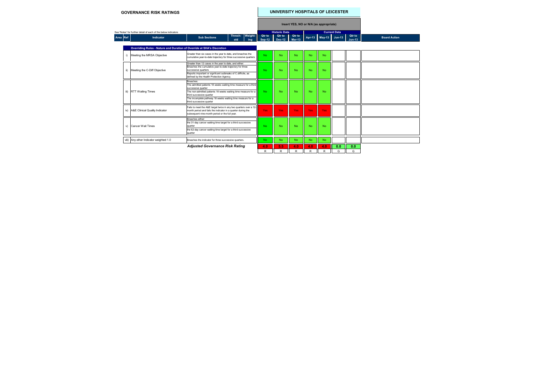|          |                                                                | <b>GOVERNANCE RISK RATINGS</b>                                         |                                                                                                                                                                                                                                                                                           |                                             |                | UNIVERSITY HOSPITALS OF LEICESTER      |                         |                    |            |                      |     |                    |                     |
|----------|----------------------------------------------------------------|------------------------------------------------------------------------|-------------------------------------------------------------------------------------------------------------------------------------------------------------------------------------------------------------------------------------------------------------------------------------------|---------------------------------------------|----------------|----------------------------------------|-------------------------|--------------------|------------|----------------------|-----|--------------------|---------------------|
|          |                                                                |                                                                        |                                                                                                                                                                                                                                                                                           |                                             |                | Insert YES, NO or N/A (as appropriate) |                         |                    |            |                      |     |                    |                     |
|          | See 'Notes' for further detail of each of the below indicators |                                                                        |                                                                                                                                                                                                                                                                                           | <b>Historic Data</b><br><b>Current Data</b> |                |                                        |                         |                    |            |                      |     |                    |                     |
| Area Ref |                                                                | Indicator                                                              | <b>Sub Sections</b>                                                                                                                                                                                                                                                                       | Thresh-<br>old                              | Weight-<br>ing | Qtr to<br><b>Sep-12</b>                | Qtr to<br><b>Dec-12</b> | Qtr to<br>$Mar-13$ |            | Apr-13 May-13 Jun-13 |     | Qtr to<br>$Jun-13$ | <b>Board Action</b> |
|          |                                                                | Overriding Rules - Nature and Duration of Override at SHA's Discretion |                                                                                                                                                                                                                                                                                           |                                             |                |                                        |                         |                    |            |                      |     |                    |                     |
|          | i)                                                             | Meeting the MRSA Objective                                             | Greater than six cases in the year to date, and breaches the<br>cumulative vear-to-date traiectory for three successive quarters                                                                                                                                                          |                                             |                | No.                                    | No                      | <b>No</b>          | <b>No</b>  | <b>No</b>            |     |                    |                     |
|          |                                                                | ii) Meeting the C-Diff Objective                                       | Greater than 12 cases in the year to date, and either:<br>Breaches the cumulative year-to-date trajectory for three<br>successive quarters<br>Reports important or signficant outbreaks of C.difficile, as<br>defined by the Health Protection Agency.                                    |                                             |                | N <sub>0</sub>                         | No                      | <b>No</b>          | <b>No</b>  | <b>No</b>            |     |                    |                     |
|          | iii)                                                           | <b>RTT Waiting Times</b>                                               | Breaches:<br>The admitted patients 18 weeks waiting time measure for a third<br>successive quarter<br>The non-admitted patients 18 weeks waiting time measure for a<br>third successive quarter<br>The incomplete pathway 18 weeks waiting time measure for a<br>third successive quarter |                                             |                | No.                                    | No                      | <b>No</b>          | <b>No</b>  | <b>No</b>            |     |                    |                     |
|          |                                                                | iv) A&E Clinical Quality Indicator                                     | Fails to meet the A&E target twice in any two quarters over a 12-<br>month period and fails the indicator in a quarter during the<br>subsequent nine-month period or the full year.                                                                                                       |                                             |                | Yes                                    | Yes:                    | Yes                | <b>Yes</b> | <b>Yes</b>           |     |                    |                     |
|          |                                                                | v) Cancer Wait Times                                                   | Breaches either:<br>the 31-day cancer waiting time target for a third successive<br>quarter<br>the 62-day cancer waiting time target for a third successive<br>quarter                                                                                                                    |                                             |                | No                                     | No                      | <b>No</b>          | <b>No</b>  | <b>No</b>            |     |                    |                     |
|          |                                                                | viii) Any other Indicator weighted 1.0                                 | Breaches the indicator for three successive quarters.                                                                                                                                                                                                                                     |                                             |                | No.                                    | <b>No</b>               | <b>No</b>          | <b>No</b>  | <b>No</b>            |     |                    |                     |
|          |                                                                |                                                                        | <b>Adjusted Governance Risk Rating</b>                                                                                                                                                                                                                                                    |                                             |                | 4.0                                    | 5.5                     | 4.0                | 4.0        | 4.0                  | 0.0 | 0.0                |                     |
|          |                                                                |                                                                        |                                                                                                                                                                                                                                                                                           |                                             |                | R                                      | R                       | R                  | R          | R                    | G   | G                  |                     |